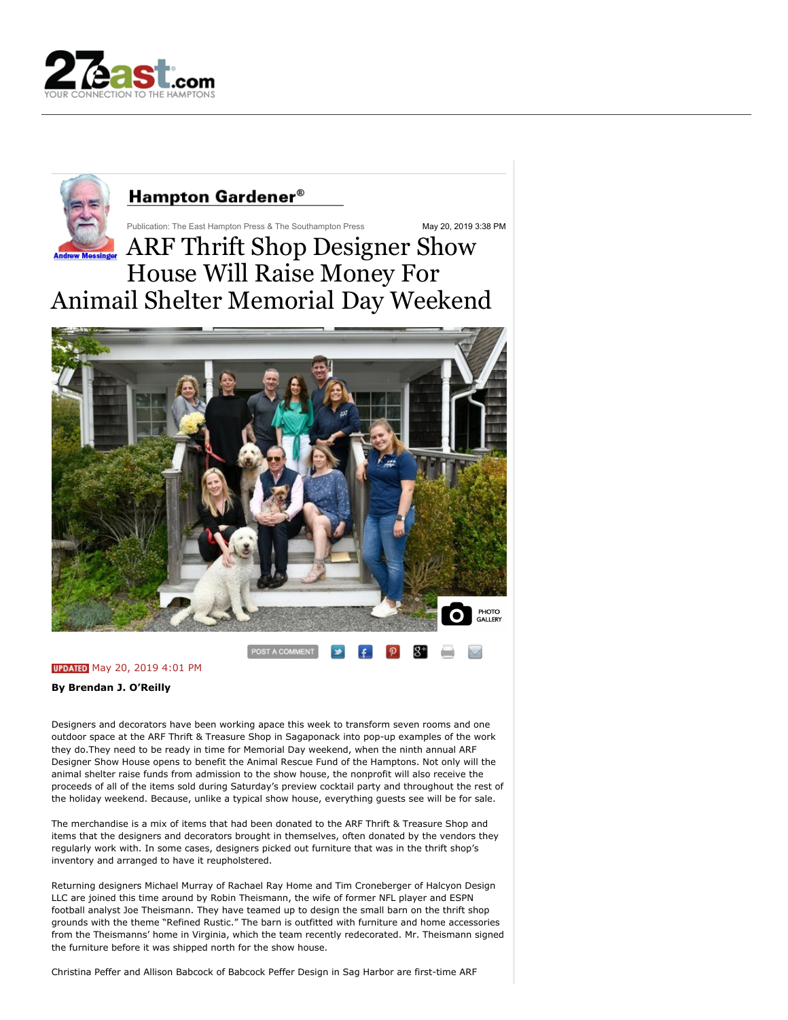



**UPDATED** May 20, 2019 4:01 PM

**By Brendan J. O'Reilly**

Designers and decorators have been working apace this week to transform seven rooms and one outdoor space at the ARF Thrift & Treasure Shop in Sagaponack into pop-up examples of the work they do.They need to be ready in time for Memorial Day weekend, when the ninth annual ARF Designer Show House opens to benefit the Animal Rescue Fund of the Hamptons. Not only will the animal shelter raise funds from admission to the show house, the nonprofit will also receive the proceeds of all of the items sold during Saturday's preview cocktail party and throughout the rest of the holiday weekend. Because, unlike a typical show house, everything guests see will be for sale.

The merchandise is a mix of items that had been donated to the ARF Thrift & Treasure Shop and items that the designers and decorators brought in themselves, often donated by the vendors they regularly work with. In some cases, designers picked out furniture that was in the thrift shop's inventory and arranged to have it reupholstered.

Returning designers Michael Murray of Rachael Ray Home and Tim Croneberger of Halcyon Design LLC are joined this time around by Robin Theismann, the wife of former NFL player and ESPN football analyst Joe Theismann. They have teamed up to design the small barn on the thrift shop grounds with the theme "Refined Rustic." The barn is outfitted with furniture and home accessories from the Theismanns' home in Virginia, which the team recently redecorated. Mr. Theismann signed the furniture before it was shipped north for the show house.

Christina Peffer and Allison Babcock of Babcock Peffer Design in Sag Harbor are first-time ARF